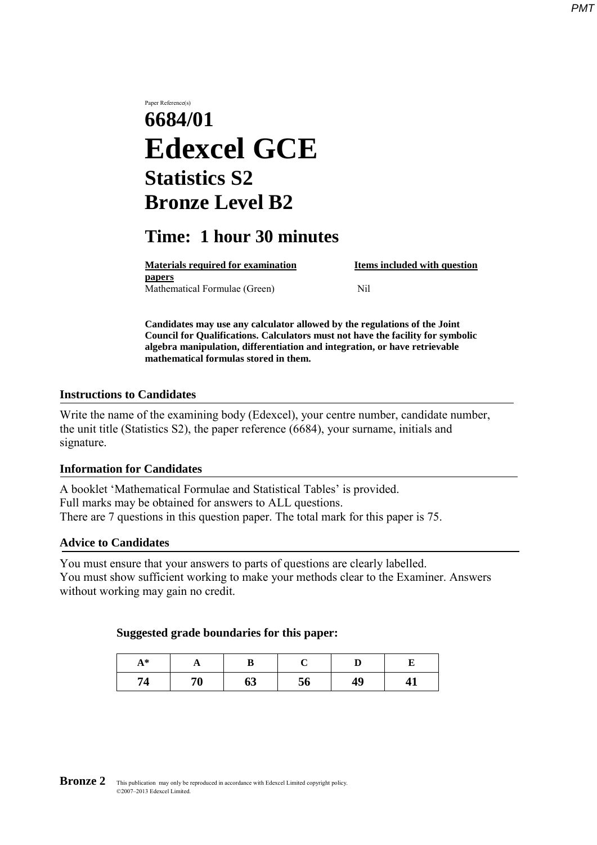# Paper Reference(s) **6684/01 Edexcel GCE Statistics S2 Bronze Level B2**

# **Time: 1 hour 30 minutes**

**Materials required for examination Items included with question papers** Mathematical Formulae (Green)Nil

**Candidates may use any calculator allowed by the regulations of the Joint Council for Qualifications. Calculators must not have the facility for symbolic algebra manipulation, differentiation and integration, or have retrievable mathematical formulas stored in them.**

#### **Instructions to Candidates**

Write the name of the examining body (Edexcel), your centre number, candidate number, the unit title (Statistics S2), the paper reference (6684), your surname, initials and signature.

#### **Information for Candidates**

A booklet 'Mathematical Formulae and Statistical Tables' is provided. Full marks may be obtained for answers to ALL questions. There are 7 questions in this question paper. The total mark for this paper is 75.

#### **Advice to Candidates**

You must ensure that your answers to parts of questions are clearly labelled. You must show sufficient working to make your methods clear to the Examiner. Answers without working may gain no credit.

#### **Suggested grade boundaries for this paper:**

| $\Lambda$ * |    |    |    |    |  |  |
|-------------|----|----|----|----|--|--|
| '4          | 70 | 63 | 56 | 49 |  |  |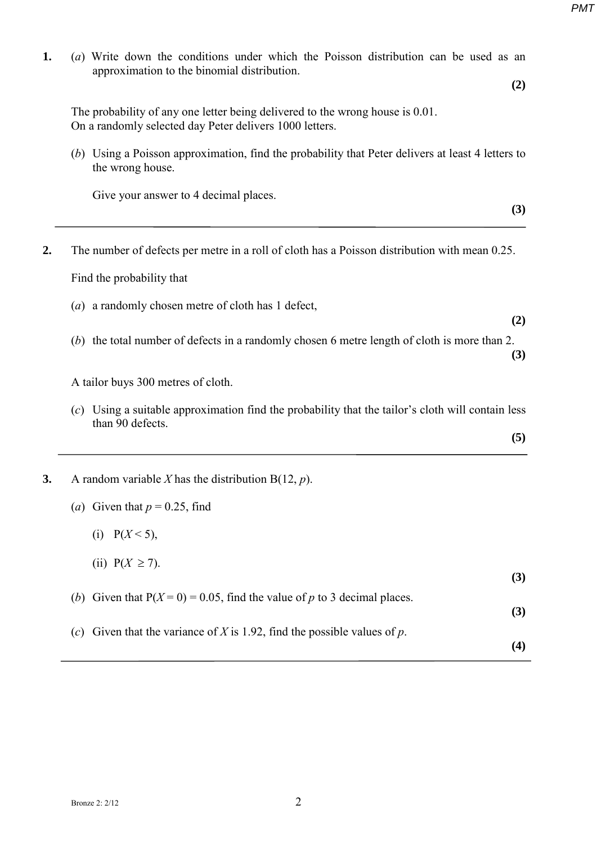| approximation to the binomial distribution.             | (a) Write down the conditions under which the Poisson distribution can be used as an                |
|---------------------------------------------------------|-----------------------------------------------------------------------------------------------------|
|                                                         | (2)                                                                                                 |
| On a randomly selected day Peter delivers 1000 letters. | The probability of any one letter being delivered to the wrong house is 0.01.                       |
| the wrong house.                                        | (b) Using a Poisson approximation, find the probability that Peter delivers at least 4 letters to   |
| Give your answer to 4 decimal places.                   |                                                                                                     |
|                                                         | (3)                                                                                                 |
|                                                         | The number of defects per metre in a roll of cloth has a Poisson distribution with mean 0.25.       |
| Find the probability that                               |                                                                                                     |
| (a) a randomly chosen metre of cloth has 1 defect,      |                                                                                                     |
|                                                         | (2)                                                                                                 |
|                                                         | (b) the total number of defects in a randomly chosen 6 metre length of cloth is more than 2.<br>(3) |
| A tailor buys 300 metres of cloth.                      |                                                                                                     |
| than 90 defects.                                        | $(c)$ Using a suitable approximation find the probability that the tailor's cloth will contain less |
|                                                         | (5)                                                                                                 |
| A random variable X has the distribution $B(12, p)$ .   |                                                                                                     |
| (a) Given that $p = 0.25$ , find                        |                                                                                                     |
| (i) $P(X \le 5)$ ,                                      |                                                                                                     |
| (ii) $P(X \ge 7)$ .                                     |                                                                                                     |
|                                                         | (3)                                                                                                 |
| (b)                                                     | Given that $P(X=0) = 0.05$ , find the value of p to 3 decimal places.<br>(3)                        |
|                                                         | (c) Given that the variance of X is 1.92, find the possible values of p.                            |
|                                                         | (4)                                                                                                 |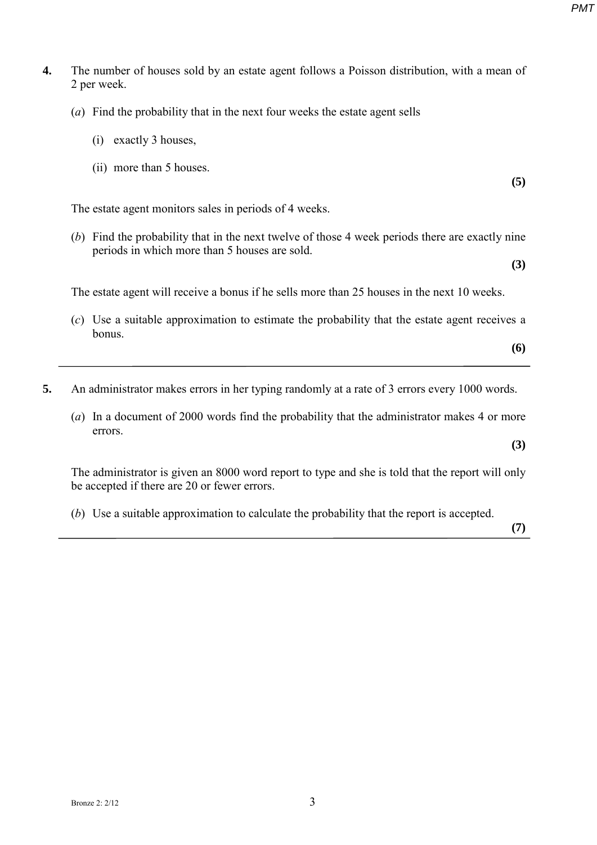- **4.** The number of houses sold by an estate agent follows a Poisson distribution, with a mean of 2 per week.
	- (*a*) Find the probability that in the next four weeks the estate agent sells
		- (i) exactly 3 houses,
		- (ii) more than 5 houses.

The estate agent monitors sales in periods of 4 weeks.

(*b*) Find the probability that in the next twelve of those 4 week periods there are exactly nine periods in which more than 5 houses are sold.

The estate agent will receive a bonus if he sells more than 25 houses in the next 10 weeks.

- (*c*) Use a suitable approximation to estimate the probability that the estate agent receives a bonus.
- **5.** An administrator makes errors in her typing randomly at a rate of 3 errors every 1000 words.
	- (*a*) In a document of 2000 words find the probability that the administrator makes 4 or more errors.

The administrator is given an 8000 word report to type and she is told that the report will only be accepted if there are 20 or fewer errors.

(*b*) Use a suitable approximation to calculate the probability that the report is accepted.

**(7)**

**(5)**

**(3)**

**(6)** 

**(3)**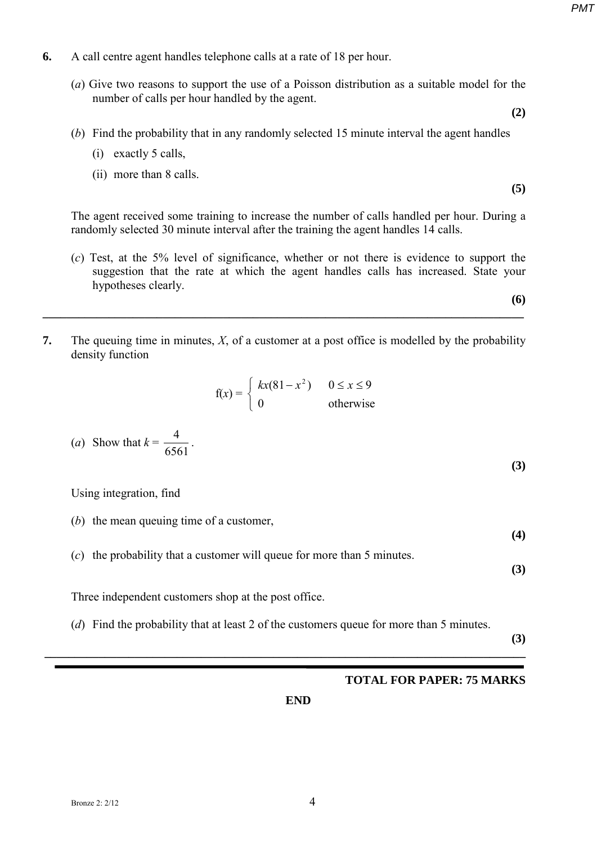- **6.** A call centre agent handles telephone calls at a rate of 18 per hour.
	- (*a*) Give two reasons to support the use of a Poisson distribution as a suitable model for the number of calls per hour handled by the agent.

**(2)**

- (*b*) Find the probability that in any randomly selected 15 minute interval the agent handles
	- (i) exactly 5 calls,
	- (ii) more than 8 calls.

The agent received some training to increase the number of calls handled per hour. During a randomly selected 30 minute interval after the training the agent handles 14 calls.

(*c*) Test, at the 5% level of significance, whether or not there is evidence to support the suggestion that the rate at which the agent handles calls has increased. State your hypotheses clearly.

**(6) \_\_\_\_\_\_\_\_\_\_\_\_\_\_\_\_\_\_\_\_\_\_\_\_\_\_\_\_\_\_\_\_\_\_\_\_\_\_\_\_\_\_\_\_\_\_\_\_\_\_\_\_\_\_\_\_\_\_\_\_\_\_\_\_\_\_\_\_\_\_\_\_\_\_\_\_\_\_\_\_** 

**7.** The queuing time in minutes, *X*, of a customer at a post office is modelled by the probability density function

$$
f(x) = \begin{cases} kx(81 - x^2) & 0 \le x \le 9 \\ 0 & \text{otherwise} \end{cases}
$$

(a) Show that 
$$
k = \frac{4}{6561}
$$
.

Using integration, find

- (*b*) the mean queuing time of a customer,
- (*c*) the probability that a customer will queue for more than 5 minutes.

**(3)**

**(4)**

**(3)**

Three independent customers shop at the post office.

(*d*) Find the probability that at least 2 of the customers queue for more than 5 minutes.

**\_\_\_\_\_\_\_\_\_\_\_\_\_\_\_\_\_\_\_\_\_\_\_\_\_\_\_\_\_\_\_\_\_\_\_\_\_\_\_\_\_\_\_\_\_\_\_\_\_\_\_\_\_\_\_\_\_\_\_\_\_\_\_\_\_\_\_\_\_\_\_\_\_\_\_\_\_\_\_\_** 

**(3)**

#### **TOTAL FOR PAPER: 75 MARKS**

**END**

**(5)**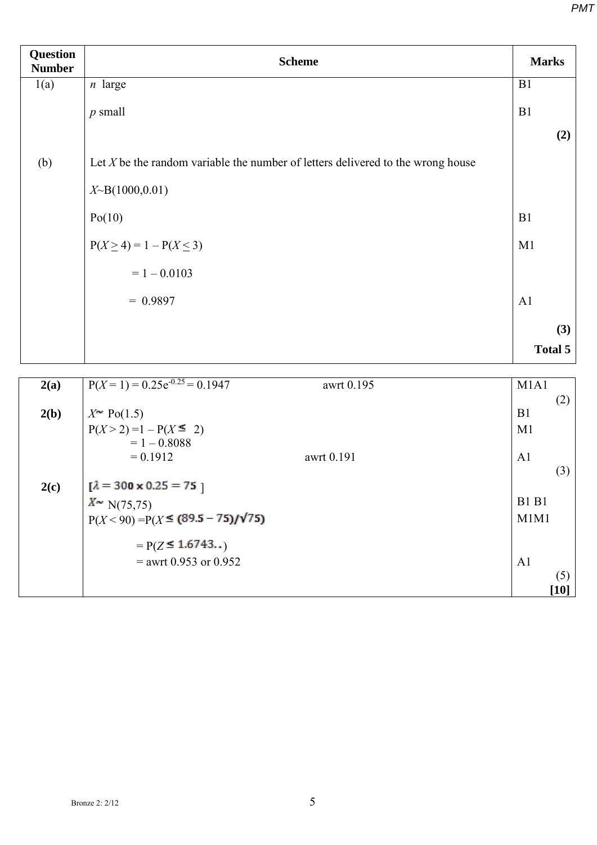| <b>Question</b><br><b>Number</b> | <b>Scheme</b>                                                                     | <b>Marks</b>   |
|----------------------------------|-----------------------------------------------------------------------------------|----------------|
| 1(a)                             | $n$ large                                                                         | B1             |
|                                  | $p$ small                                                                         | B1             |
|                                  |                                                                                   | (2)            |
| (b)                              | Let $X$ be the random variable the number of letters delivered to the wrong house |                |
|                                  | $X\text{-}B(1000,0.01)$                                                           |                |
|                                  | Po(10)                                                                            | B1             |
|                                  | $P(X \ge 4) = 1 - P(X \le 3)$                                                     | M1             |
|                                  | $= 1 - 0.0103$                                                                    |                |
|                                  | $= 0.9897$                                                                        | A1             |
|                                  |                                                                                   | (3)            |
|                                  |                                                                                   | Total 5        |
| 2(a)                             | $P(X=1) = 0.25e^{-0.25} = 0.1947$<br>awrt 0.195                                   | M1A1           |
|                                  |                                                                                   | (2)            |
| 2(b)                             | $X^{\sim}$ Po(1.5)<br>$P(X > 2) = 1 - P(X \le 2)$                                 | B1<br>M1       |
|                                  | $= 1 - 0.8088$                                                                    |                |
|                                  | $= 0.1912$<br>awrt 0.191                                                          | A1             |
| 2(c)                             | $[\lambda = 300 \times 0.25 = 75]$                                                | (3)            |
|                                  | $X^*$ N(75,75)                                                                    | <b>B1 B1</b>   |
|                                  | $P(X < 90) = P(X \leq (89.5 - 75)/\sqrt{75})$                                     | M1M1           |
|                                  | $= P(Z \le 1.6743)$                                                               |                |
|                                  | $=$ awrt 0.953 or 0.952                                                           | A <sub>1</sub> |
|                                  |                                                                                   | (5)            |
|                                  |                                                                                   | $[10]$         |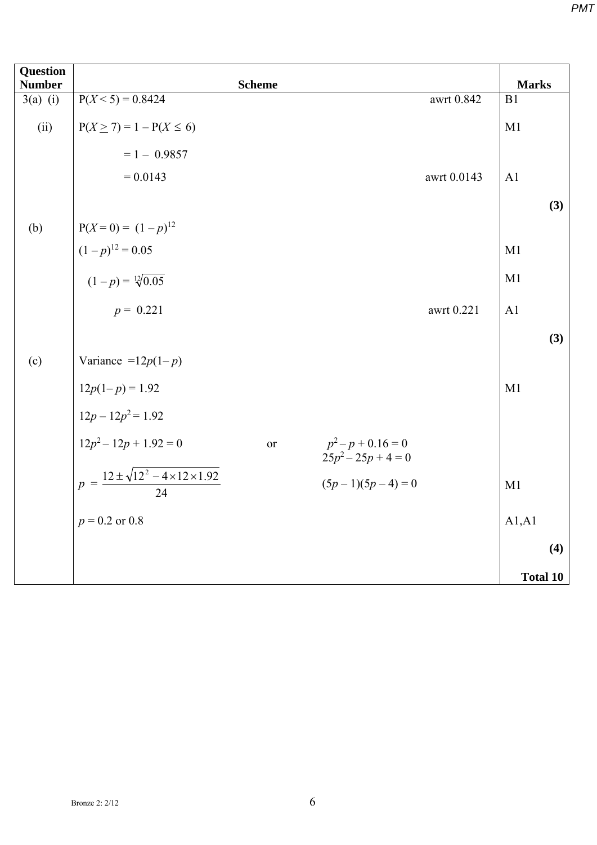| <b>Question</b><br><b>Number</b> | <b>Scheme</b>                                                              | <b>Marks</b>    |
|----------------------------------|----------------------------------------------------------------------------|-----------------|
| $3(a)$ (i)                       | $P(X \le 5) = 0.8424$<br>awrt $0.842$                                      | B1              |
| (ii)                             | $P(X \ge 7) = 1 - P(X \le 6)$                                              | M1              |
|                                  | $= 1 - 0.9857$                                                             |                 |
|                                  | $= 0.0143$<br>awrt 0.0143                                                  | A <sub>1</sub>  |
|                                  |                                                                            | (3)             |
| (b)                              | $P(X=0) = (1-p)^{12}$                                                      |                 |
|                                  | $(1-p)^{12} = 0.05$                                                        | M1              |
|                                  | $(1-p) = \sqrt[12]{0.05}$                                                  | M1              |
|                                  | $p = 0.221$<br>awrt 0.221                                                  | A <sub>1</sub>  |
|                                  |                                                                            | (3)             |
| (c)                              | Variance = $12p(1-p)$                                                      |                 |
|                                  | $12p(1-p) = 1.92$                                                          | M1              |
|                                  | $12p - 12p^2 = 1.92$                                                       |                 |
|                                  | $12p^2 - 12p + 1.92 = 0$<br>$p^2-p+0.16=0$<br><b>or</b><br>$25p^2-25p+4=0$ |                 |
|                                  | $p = \frac{12 \pm \sqrt{12^2 - 4 \times 12 \times 1.92}}{24}$              |                 |
|                                  | $(5p-1)(5p-4)=0$                                                           | M1              |
|                                  | $p = 0.2$ or 0.8                                                           | A1, A1          |
|                                  |                                                                            | (4)             |
|                                  |                                                                            | <b>Total 10</b> |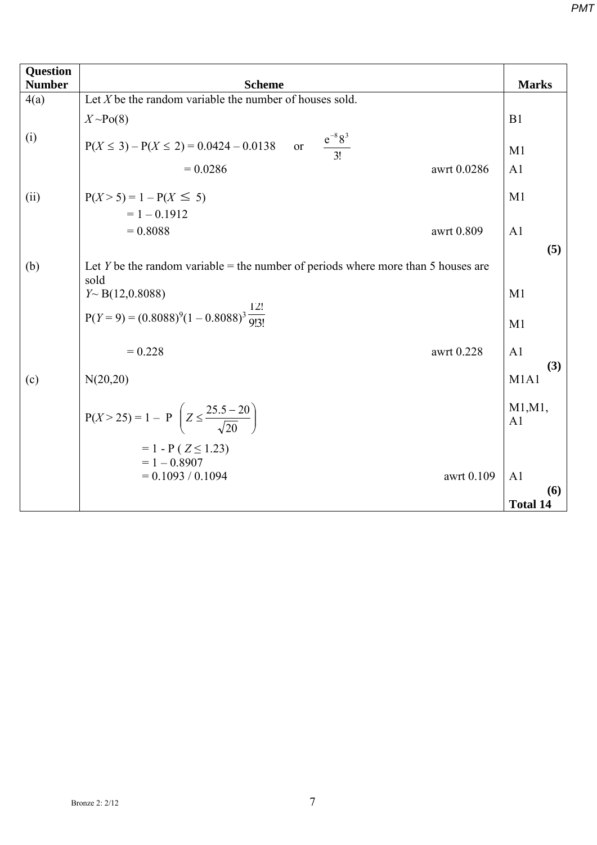| <b>Question</b><br><b>Number</b> | <b>Scheme</b>                                                                             | <b>Marks</b>                  |
|----------------------------------|-------------------------------------------------------------------------------------------|-------------------------------|
| 4(a)                             | Let $X$ be the random variable the number of houses sold.                                 |                               |
|                                  | $X \sim Po(8)$                                                                            | B1                            |
| (i)                              | or $\frac{e^{-8}8^3}{3!}$<br>$P(X \le 3) - P(X \le 2) = 0.0424 - 0.0138$                  | M1                            |
|                                  | $= 0.0286$<br>awrt 0.0286                                                                 | A <sub>1</sub>                |
| (ii)                             | $P(X > 5) = 1 - P(X \le 5)$<br>$= 1 - 0.1912$                                             | M1                            |
|                                  | $= 0.8088$<br>awrt 0.809                                                                  | A <sub>1</sub><br>(5)         |
| (b)                              | Let Y be the random variable = the number of periods where more than 5 houses are<br>sold |                               |
|                                  | $Y \sim B(12,0.8088)$                                                                     | M <sub>1</sub>                |
|                                  | $P(Y = 9) = (0.8088)^{9}(1 - 0.8088)^{3} \frac{12!}{9!3!}$                                | M1                            |
|                                  | $= 0.228$<br>awrt 0.228                                                                   | A1<br>(3)                     |
| (c)                              | N(20,20)                                                                                  | M <sub>1</sub> A <sub>1</sub> |
|                                  | $P(X > 25) = 1 - P\left(Z \le \frac{25.5 - 20}{\sqrt{20}}\right)$                         | M1, M1,<br>A <sub>1</sub>     |
|                                  | $= 1 - P(Z \le 1.23)$<br>$= 1 - 0.8907$                                                   |                               |
|                                  | $= 0.1093 / 0.1094$<br>awrt 0.109                                                         | A <sub>1</sub>                |
|                                  |                                                                                           | (6)<br><b>Total 14</b>        |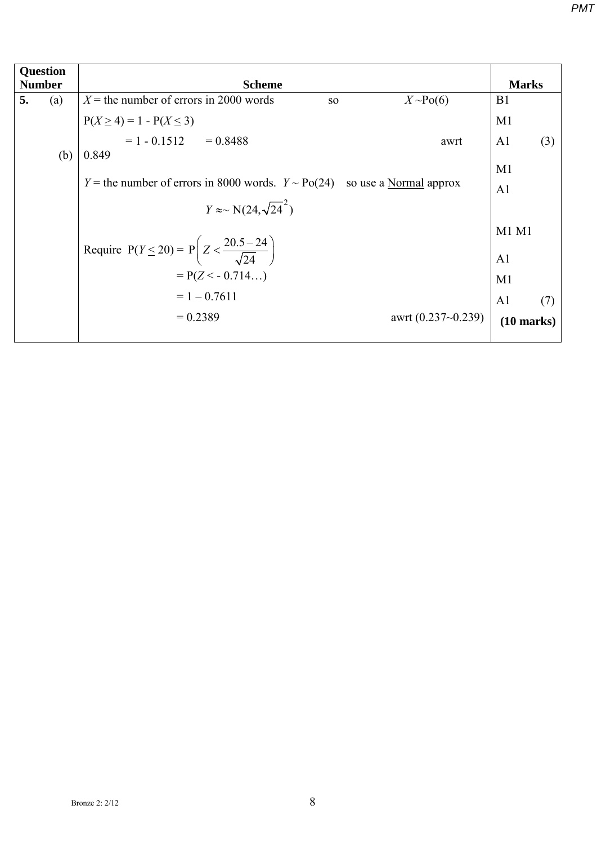| Question      |                                                                       |                                                                                                  |                       |  |  |  |  |
|---------------|-----------------------------------------------------------------------|--------------------------------------------------------------------------------------------------|-----------------------|--|--|--|--|
| <b>Number</b> | <b>Scheme</b>                                                         | <b>Marks</b>                                                                                     |                       |  |  |  |  |
| 5.<br>(a)     | $X$ = the number of errors in 2000 words<br>SO                        | $X \sim Po(6)$                                                                                   | B <sub>1</sub>        |  |  |  |  |
|               | $P(X \ge 4) = 1 - P(X \le 3)$<br>= 1 - 0.1512 = 0.8488                |                                                                                                  | M1                    |  |  |  |  |
|               |                                                                       | awrt                                                                                             | A <sub>1</sub><br>(3) |  |  |  |  |
| (b)           | 0.849                                                                 |                                                                                                  |                       |  |  |  |  |
|               |                                                                       |                                                                                                  | M1                    |  |  |  |  |
|               |                                                                       | Y = the number of errors in 8000 words. $Y \sim Po(24)$ so use a Normal approx<br>A <sub>1</sub> |                       |  |  |  |  |
|               | $Y \approx \mathcal{N}(24, \sqrt{24}^2)$                              |                                                                                                  |                       |  |  |  |  |
|               |                                                                       | $M1$ $M1$                                                                                        |                       |  |  |  |  |
|               | Require $P(Y \le 20) = P\left(Z < \frac{20.5 - 24}{\sqrt{24}}\right)$ |                                                                                                  | A <sub>1</sub>        |  |  |  |  |
|               | $= P(Z < -0.714)$                                                     |                                                                                                  | M1                    |  |  |  |  |
|               | $= 1 - 0.7611$                                                        |                                                                                                  | A <sub>1</sub><br>(7) |  |  |  |  |
|               | $= 0.2389$                                                            | awrt $(0.237 - 0.239)$                                                                           | $(10 \text{ marks})$  |  |  |  |  |
|               |                                                                       |                                                                                                  |                       |  |  |  |  |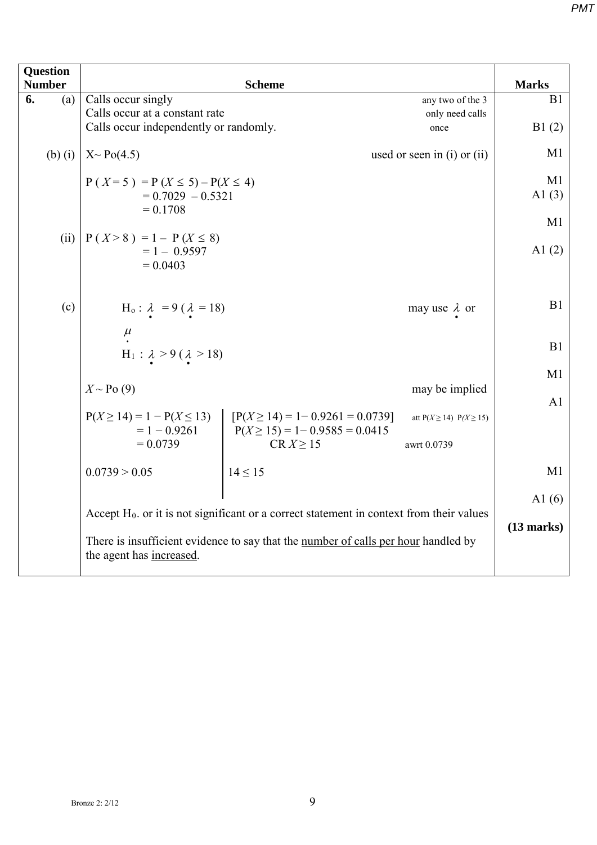| <b>Question</b><br><b>Number</b> |                                                                                                                | <b>Scheme</b>                                        |                                 | <b>Marks</b>   |  |
|----------------------------------|----------------------------------------------------------------------------------------------------------------|------------------------------------------------------|---------------------------------|----------------|--|
| (a)<br>6.                        | Calls occur singly                                                                                             |                                                      | any two of the 3                | B1             |  |
|                                  | Calls occur at a constant rate                                                                                 |                                                      | only need calls                 |                |  |
|                                  | Calls occur independently or randomly.                                                                         |                                                      | once                            | B1(2)          |  |
| $(b)$ $(i)$                      | $X \sim Po(4.5)$                                                                                               |                                                      | used or seen in $(i)$ or $(ii)$ | M1             |  |
|                                  | $P(X=5) = P(X \le 5) - P(X \le 4)$<br>$= 0.7029 - 0.5321$<br>$= 0.1708$                                        |                                                      |                                 | M1<br>A $1(3)$ |  |
|                                  |                                                                                                                |                                                      |                                 | M1             |  |
| (ii)                             | $P(X > 8) = 1 - P(X \le 8)$<br>$= 1 - 0.9597$<br>$= 0.0403$                                                    |                                                      |                                 | A $1(2)$       |  |
|                                  |                                                                                                                |                                                      |                                 |                |  |
| (c)                              | $H_o: \lambda = 9 (\lambda = 18)$                                                                              |                                                      | may use $\lambda$ or            | B1             |  |
|                                  | $\mu$ .                                                                                                        |                                                      |                                 |                |  |
|                                  | $H_1$ : $\lambda > 9$ ( $\lambda > 18$ )                                                                       |                                                      |                                 | B1             |  |
|                                  |                                                                                                                |                                                      | M1                              |                |  |
|                                  | $X \sim Po(9)$                                                                                                 |                                                      | may be implied                  |                |  |
|                                  |                                                                                                                |                                                      |                                 | A1             |  |
|                                  | $P(X \ge 14) = 1 - P(X \le 13)$                                                                                | $[P(X \ge 14) = 1 - 0.9261 = 0.0739]$                | att $P(X \ge 14)$ $P(X \ge 15)$ |                |  |
|                                  | $= 1 - 0.9261$<br>$= 0.0739$                                                                                   | $P(X \ge 15) = 1 - 0.9585 = 0.0415$<br>$CR X \ge 15$ | awrt 0.0739                     |                |  |
|                                  |                                                                                                                |                                                      |                                 |                |  |
|                                  | 0.0739 > 0.05                                                                                                  | $14 \le 15$                                          |                                 | M1             |  |
|                                  |                                                                                                                |                                                      |                                 | A $1(6)$       |  |
|                                  | Accept $H_0$ . or it is not significant or a correct statement in context from their values                    |                                                      |                                 |                |  |
|                                  | There is insufficient evidence to say that the number of calls per hour handled by<br>the agent has increased. |                                                      |                                 |                |  |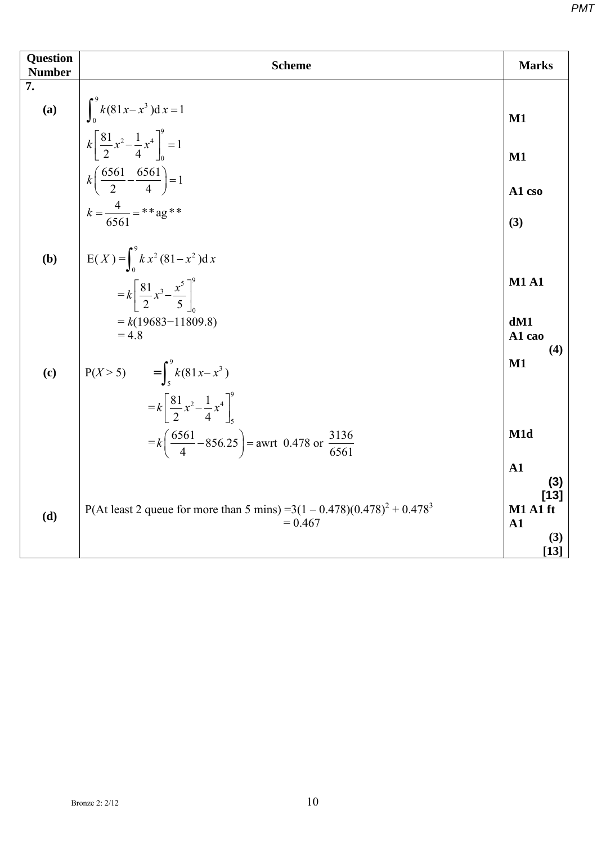| <b>Question</b><br><b>Number</b> | <b>Scheme</b>                                                                             | <b>Marks</b>                     |
|----------------------------------|-------------------------------------------------------------------------------------------|----------------------------------|
| 7.                               |                                                                                           |                                  |
|                                  | (a) $\int_0^3 k(81x-x^3)dx = 1$                                                           | $\mathbf{M1}$                    |
|                                  | $k\left[\frac{81}{2}x^2-\frac{1}{4}x^4\right]_0^9=1$                                      | $M1$                             |
|                                  | $k\left(\frac{6561}{2} - \frac{6561}{4}\right) = 1$                                       | A1 cso                           |
|                                  | $k = \frac{4}{6561} =$ **ag**                                                             | (3)                              |
| (b)                              | $E(X) = \int_{0}^{9} k x^{2} (81 - x^{2}) dx$                                             |                                  |
|                                  | $= k \left[ \frac{81}{2} x^3 - \frac{x^5}{5} \right]$                                     | <b>M1 A1</b>                     |
|                                  | $= k(19683 - 11809.8)$<br>$= 4.8$                                                         | dM1<br>A1 cao<br>(4)             |
| (c)                              | $P(X > 5)$ = $\int_{c}^{9} k(81x - x^{3})$                                                | $\mathbf{M1}$                    |
|                                  | $=k\left[\frac{81}{2}x^2-\frac{1}{4}x^4\right]^9$                                         |                                  |
|                                  | $= k \left( \frac{6561}{4} - 856.25 \right) =$ awrt 0.478 or $\frac{3136}{6561}$          | M1d                              |
|                                  |                                                                                           | ${\bf A1}$<br>(3)                |
| (d)                              | P(At least 2 queue for more than 5 mins) = $3(1 - 0.478)(0.478)^2 + 0.478^3$<br>$= 0.467$ | $[13]$<br>M1 A1 ft<br>${\bf A1}$ |
|                                  |                                                                                           | (3)<br>$[13]$                    |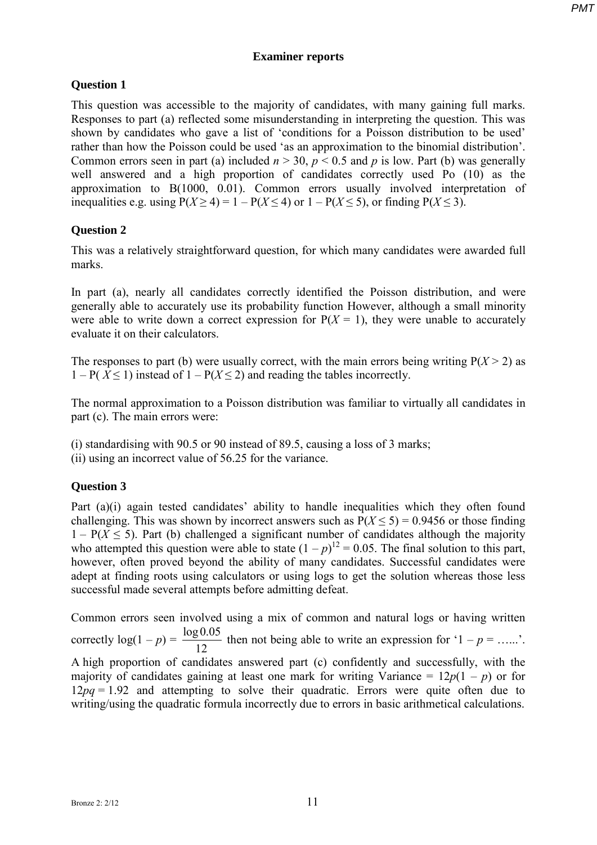#### **Examiner reports**

## **Question 1**

This question was accessible to the majority of candidates, with many gaining full marks. Responses to part (a) reflected some misunderstanding in interpreting the question. This was shown by candidates who gave a list of 'conditions for a Poisson distribution to be used' rather than how the Poisson could be used 'as an approximation to the binomial distribution'. Common errors seen in part (a) included  $n > 30$ ,  $p < 0.5$  and p is low. Part (b) was generally well answered and a high proportion of candidates correctly used Po (10) as the approximation to B(1000, 0.01). Common errors usually involved interpretation of inequalities e.g. using  $P(X \ge 4) = 1 - P(X \le 4)$  or  $1 - P(X \le 5)$ , or finding  $P(X \le 3)$ .

# **Question 2**

This was a relatively straightforward question, for which many candidates were awarded full marks.

In part (a), nearly all candidates correctly identified the Poisson distribution, and were generally able to accurately use its probability function However, although a small minority were able to write down a correct expression for  $P(X = 1)$ , they were unable to accurately evaluate it on their calculators.

The responses to part (b) were usually correct, with the main errors being writing  $P(X > 2)$  as  $1 - P(X \le 1)$  instead of  $1 - P(X \le 2)$  and reading the tables incorrectly.

The normal approximation to a Poisson distribution was familiar to virtually all candidates in part (c). The main errors were:

(i) standardising with 90.5 or 90 instead of 89.5, causing a loss of 3 marks;

### **Question 3**

Part (a)(i) again tested candidates' ability to handle inequalities which they often found challenging. This was shown by incorrect answers such as  $P(X \le 5) = 0.9456$  or those finding  $1 - P(X \le 5)$ . Part (b) challenged a significant number of candidates although the majority who attempted this question were able to state  $(1-p)^{12} = 0.05$ . The final solution to this part, however, often proved beyond the ability of many candidates. Successful candidates were adept at finding roots using calculators or using logs to get the solution whereas those less successful made several attempts before admitting defeat.

Common errors seen involved using a mix of common and natural logs or having written correctly  $log(1 - p) = \frac{log 0.05}{12}$  then not being able to write an expression for '1 – *p* = …...'. A high proportion of candidates answered part (c) confidently and successfully, with the majority of candidates gaining at least one mark for writing Variance =  $12p(1 - p)$  or for 12*pq* = 1.92 and attempting to solve their quadratic. Errors were quite often due to writing/using the quadratic formula incorrectly due to errors in basic arithmetical calculations.

<sup>(</sup>ii) using an incorrect value of 56.25 for the variance.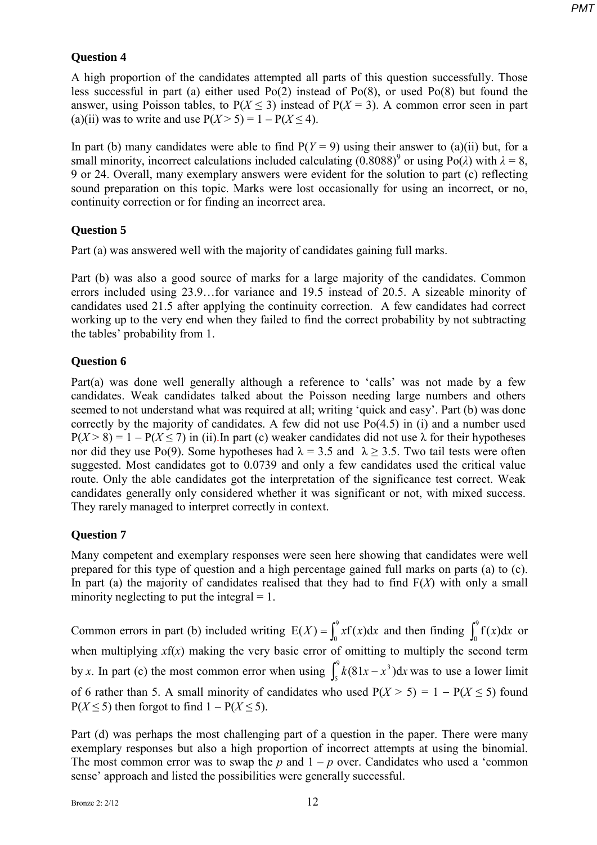## **Question 4**

A high proportion of the candidates attempted all parts of this question successfully. Those less successful in part (a) either used Po(2) instead of Po(8), or used Po(8) but found the answer, using Poisson tables, to  $P(X \le 3)$  instead of  $P(X = 3)$ . A common error seen in part (a)(ii) was to write and use  $P(X > 5) = 1 - P(X \le 4)$ .

In part (b) many candidates were able to find  $P(Y = 9)$  using their answer to (a)(ii) but, for a small minority, incorrect calculations included calculating  $(0.8088)^9$  or using Po( $\lambda$ ) with  $\lambda = 8$ , 9 or 24. Overall, many exemplary answers were evident for the solution to part (c) reflecting sound preparation on this topic. Marks were lost occasionally for using an incorrect, or no, continuity correction or for finding an incorrect area.

# **Question 5**

Part (a) was answered well with the majority of candidates gaining full marks.

Part (b) was also a good source of marks for a large majority of the candidates. Common errors included using 23.9…for variance and 19.5 instead of 20.5. A sizeable minority of candidates used 21.5 after applying the continuity correction. A few candidates had correct working up to the very end when they failed to find the correct probability by not subtracting the tables' probability from 1.

### **Question 6**

Part(a) was done well generally although a reference to 'calls' was not made by a few candidates. Weak candidates talked about the Poisson needing large numbers and others seemed to not understand what was required at all; writing 'quick and easy'. Part (b) was done correctly by the majority of candidates. A few did not use Po(4.5) in (i) and a number used  $P(X > 8) = 1 - P(X \le 7)$  in (ii). In part (c) weaker candidates did not use  $\lambda$  for their hypotheses nor did they use Po(9). Some hypotheses had  $\lambda = 3.5$  and  $\lambda \ge 3.5$ . Two tail tests were often suggested. Most candidates got to 0.0739 and only a few candidates used the critical value route. Only the able candidates got the interpretation of the significance test correct. Weak candidates generally only considered whether it was significant or not, with mixed success. They rarely managed to interpret correctly in context.

### **Question 7**

Many competent and exemplary responses were seen here showing that candidates were well prepared for this type of question and a high percentage gained full marks on parts (a) to (c). In part (a) the majority of candidates realised that they had to find F(*X*) with only a small minority neglecting to put the integral  $= 1$ .

Common errors in part (b) included writing  $E(X) = \int_0^9 x f(x) dx$  and then finding  $\int_0^9 f(x) dx$  or when multiplying  $xf(x)$  making the very basic error of omitting to multiply the second term by *x*. In part (c) the most common error when using  $\int_{0}^{9} k(81x - x^3) dx$ 5  $\int_{5}^{3} k(81x - x^3) dx$  was to use a lower limit of 6 rather than 5. A small minority of candidates who used  $P(X > 5) = 1 - P(X \le 5)$  found  $P(X \le 5)$  then forgot to find  $1 - P(X \le 5)$ .

Part (d) was perhaps the most challenging part of a question in the paper. There were many exemplary responses but also a high proportion of incorrect attempts at using the binomial. The most common error was to swap the  $p$  and  $1 - p$  over. Candidates who used a 'common sense' approach and listed the possibilities were generally successful.